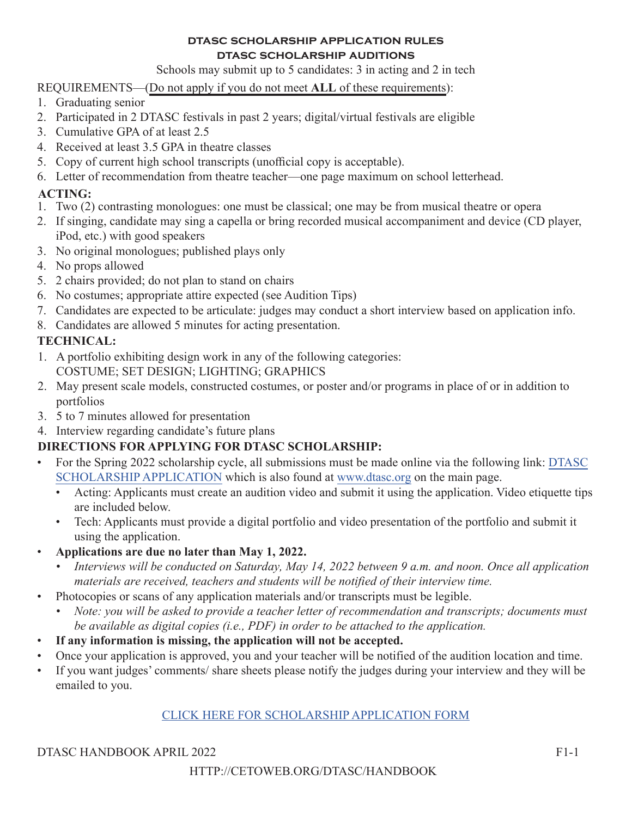#### **dtasc scholarship application rules dtasc scholarship auditions**

Schools may submit up to 5 candidates: 3 in acting and 2 in tech

REQUIREMENTS—(Do not apply if you do not meet **ALL** of these requirements):

- 1. Graduating senior
- 2. Participated in 2 DTASC festivals in past 2 years; digital/virtual festivals are eligible
- 3. Cumulative GPA of at least 2.5
- 4. Received at least 3.5 GPA in theatre classes
- 5. Copy of current high school transcripts (unofficial copy is acceptable).
- 6. Letter of recommendation from theatre teacher—one page maximum on school letterhead.

### **ACTING:**

- 1. Two (2) contrasting monologues: one must be classical; one may be from musical theatre or opera
- 2. If singing, candidate may sing a capella or bring recorded musical accompaniment and device (CD player, iPod, etc.) with good speakers
- 3. No original monologues; published plays only
- 4. No props allowed
- 5. 2 chairs provided; do not plan to stand on chairs
- 6. No costumes; appropriate attire expected (see Audition Tips)
- 7. Candidates are expected to be articulate: judges may conduct a short interview based on application info.
- 8. Candidates are allowed 5 minutes for acting presentation.

# **TECHNICAL:**

- 1. A portfolio exhibiting design work in any of the following categories: COSTUME; SET DESIGN; LIGHTING; GRAPHICS
- 2. May present scale models, constructed costumes, or poster and/or programs in place of or in addition to portfolios
- 3. 5 to 7 minutes allowed for presentation
- 4. Interview regarding candidate's future plans

# **DIRECTIONS FOR APPLYING FOR DTASC SCHOLARSHIP:**

- For the Spring 2022 scholarship cycle, all submissions must be made online via the following link: DTASC SCHOLARSHIP APPLICATION which is also found at www.dtasc.org on the main page.
	- Acting: Applicants must create an audition video and submit it using the application. Video etiquette tips are included below.
	- Tech: Applicants must provide a digital portfolio and video presentation of the portfolio and submit it using the application.
- **Applications are due no later than May 1, 2022.**
	- *Interviews will be conducted on Saturday, May 14, 2022 between 9 a.m. and noon. Once all application materials are received, teachers and students will be notified of their interview time.*
- Photocopies or scans of any application materials and/or transcripts must be legible.
	- *• Note: you will be asked to provide a teacher letter of recommendation and transcripts; documents must be available as digital copies (i.e., PDF) in order to be attached to the application.*
- **If any information is missing, the application will not be accepted.**
- Once your application is approved, you and your teacher will be notified of the audition location and time.
- If you want judges' comments/ share sheets please notify the judges during your interview and they will be emailed to you.

#### CLICK HERE FOR SCHOLARSHIP APPLICATION FORM

DTASC HANDBOOK APRIL 2022 F1-1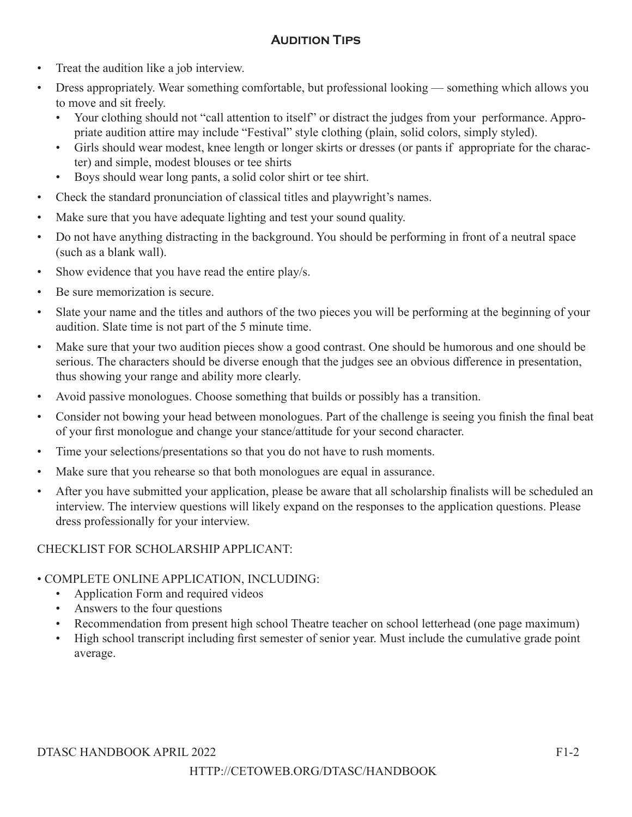# **Audition Tips**

- Treat the audition like a job interview.
- Dress appropriately. Wear something comfortable, but professional looking something which allows you to move and sit freely.
	- Your clothing should not "call attention to itself" or distract the judges from your performance. Appropriate audition attire may include "Festival" style clothing (plain, solid colors, simply styled).
	- Girls should wear modest, knee length or longer skirts or dresses (or pants if appropriate for the character) and simple, modest blouses or tee shirts
	- Boys should wear long pants, a solid color shirt or tee shirt.
- Check the standard pronunciation of classical titles and playwright's names.
- Make sure that you have adequate lighting and test your sound quality.
- Do not have anything distracting in the background. You should be performing in front of a neutral space (such as a blank wall).
- Show evidence that you have read the entire play/s.
- Be sure memorization is secure.
- Slate your name and the titles and authors of the two pieces you will be performing at the beginning of your audition. Slate time is not part of the 5 minute time.
- Make sure that your two audition pieces show a good contrast. One should be humorous and one should be serious. The characters should be diverse enough that the judges see an obvious difference in presentation, thus showing your range and ability more clearly.
- Avoid passive monologues. Choose something that builds or possibly has a transition.
- Consider not bowing your head between monologues. Part of the challenge is seeing you finish the final beat of your first monologue and change your stance/attitude for your second character.
- Time your selections/presentations so that you do not have to rush moments.
- Make sure that you rehearse so that both monologues are equal in assurance.
- After you have submitted your application, please be aware that all scholarship finalists will be scheduled an interview. The interview questions will likely expand on the responses to the application questions. Please dress professionally for your interview.

#### CHECKLIST FOR SCHOLARSHIP APPLICANT:

#### • COMPLETE ONLINE APPLICATION, INCLUDING:

- Application Form and required videos
- Answers to the four questions
- Recommendation from present high school Theatre teacher on school letterhead (one page maximum)
- High school transcript including first semester of senior year. Must include the cumulative grade point average.